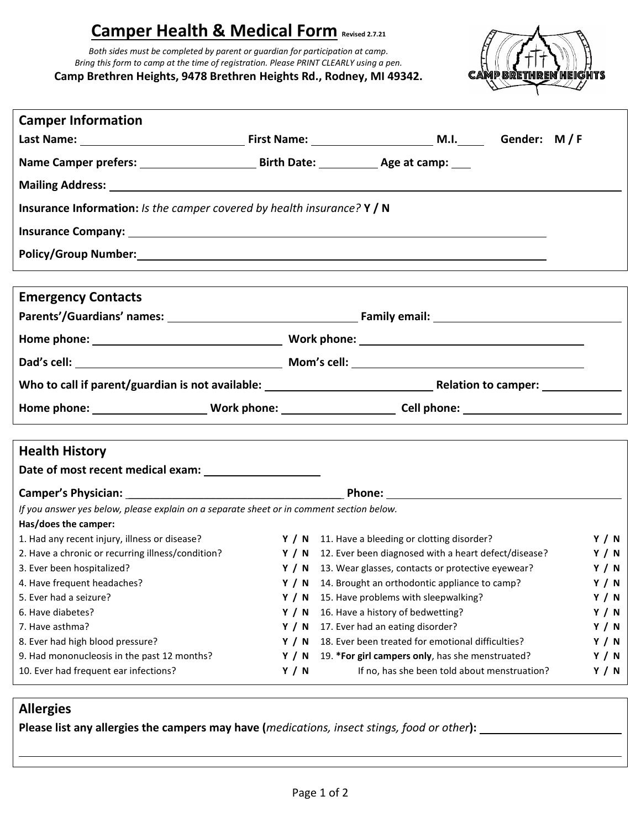## **Camper Health & Medical Form Revised 2.7.21**

*Both sides must be completed by parent or guardian for participation at camp. Bring this form to camp at the time of registration. Please PRINT CLEARLY using a pen.* **Camp Brethren Heights, 9478 Brethren Heights Rd., Rodney, MI 49342.**



| <b>Camper Information</b>                                                                |              |                                                                                                                 |              |  |  |  |  |  |
|------------------------------------------------------------------------------------------|--------------|-----------------------------------------------------------------------------------------------------------------|--------------|--|--|--|--|--|
|                                                                                          |              |                                                                                                                 |              |  |  |  |  |  |
|                                                                                          |              |                                                                                                                 |              |  |  |  |  |  |
|                                                                                          |              |                                                                                                                 |              |  |  |  |  |  |
| <b>Insurance Information:</b> Is the camper covered by health insurance? $Y / N$         |              |                                                                                                                 |              |  |  |  |  |  |
|                                                                                          |              |                                                                                                                 |              |  |  |  |  |  |
|                                                                                          |              | Policy/Group Number: Manual Communication of the Communication of the Communication of the Communication of the |              |  |  |  |  |  |
| <b>Emergency Contacts</b>                                                                |              |                                                                                                                 |              |  |  |  |  |  |
|                                                                                          |              |                                                                                                                 |              |  |  |  |  |  |
|                                                                                          |              |                                                                                                                 |              |  |  |  |  |  |
|                                                                                          |              |                                                                                                                 |              |  |  |  |  |  |
|                                                                                          |              |                                                                                                                 |              |  |  |  |  |  |
|                                                                                          |              |                                                                                                                 |              |  |  |  |  |  |
| <b>Health History</b>                                                                    |              |                                                                                                                 |              |  |  |  |  |  |
|                                                                                          |              |                                                                                                                 |              |  |  |  |  |  |
|                                                                                          |              |                                                                                                                 |              |  |  |  |  |  |
| If you answer yes below, please explain on a separate sheet or in comment section below. |              |                                                                                                                 |              |  |  |  |  |  |
| Has/does the camper:                                                                     |              |                                                                                                                 |              |  |  |  |  |  |
| 1. Had any recent injury, illness or disease?                                            |              | Y / N 11. Have a bleeding or clotting disorder?                                                                 | <b>Y</b> / N |  |  |  |  |  |
| 2. Have a chronic or recurring illness/condition?                                        |              | Y / N 12. Ever been diagnosed with a heart defect/disease?                                                      | <b>Y</b> / N |  |  |  |  |  |
| 3. Ever been hospitalized?                                                               |              | Y / N 13. Wear glasses, contacts or protective eyewear?                                                         | Y / N        |  |  |  |  |  |
| 4. Have frequent headaches?                                                              |              | Y / N 14. Brought an orthodontic appliance to camp?                                                             | Y / N        |  |  |  |  |  |
| 5. Ever had a seizure?                                                                   | Y/N          | 15. Have problems with sleepwalking?                                                                            | Y / N        |  |  |  |  |  |
| 6. Have diabetes?                                                                        | Y / N        | 16. Have a history of bedwetting?<br><b>Y</b> / N                                                               |              |  |  |  |  |  |
|                                                                                          |              | 17. Ever had an eating disorder?<br>Y / N                                                                       |              |  |  |  |  |  |
| 7. Have asthma?                                                                          | <b>Y</b> / N |                                                                                                                 |              |  |  |  |  |  |
| 8. Ever had high blood pressure?                                                         | <b>Y</b> / N | 18. Ever been treated for emotional difficulties?                                                               | Y / N        |  |  |  |  |  |
| 9. Had mononucleosis in the past 12 months?<br>10. Ever had frequent ear infections?     | <b>Y</b> / N | 19. *For girl campers only, has she menstruated?<br>If no, has she been told about menstruation?                | Y / N        |  |  |  |  |  |

## **Allergies**

**Please list any allergies the campers may have (***medications, insect stings, food or other***):**